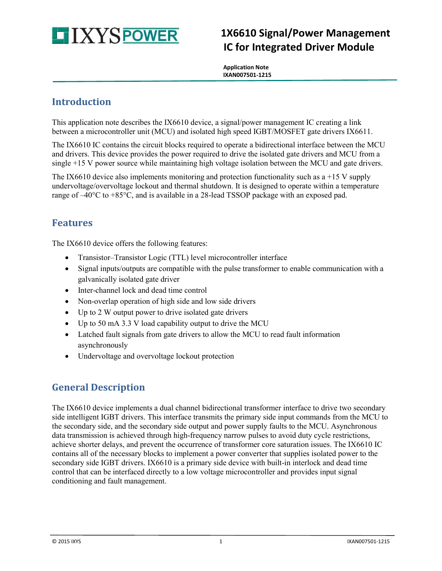

# **1X6610 Signal/Power Management IC for Integrated Driver Module**

 **Application Note IXAN007501-1215**

# **Introduction**

This application note describes the IX6610 device, a signal/power management IC creating a link between a microcontroller unit (MCU) and isolated high speed IGBT/MOSFET gate drivers IX6611.

The IX6610 IC contains the circuit blocks required to operate a bidirectional interface between the MCU and drivers. This device provides the power required to drive the isolated gate drivers and MCU from a single +15 V power source while maintaining high voltage isolation between the MCU and gate drivers.

The IX6610 device also implements monitoring and protection functionality such as  $a +15$  V supply undervoltage/overvoltage lockout and thermal shutdown. It is designed to operate within a temperature range of  $-40^{\circ}\text{C}$  to  $+85^{\circ}\text{C}$ , and is available in a 28-lead TSSOP package with an exposed pad.

### **Features**

The IX6610 device offers the following features:

- Transistor–Transistor Logic (TTL) level microcontroller interface
- Signal inputs/outputs are compatible with the pulse transformer to enable communication with a galvanically isolated gate driver
- Inter-channel lock and dead time control
- Non-overlap operation of high side and low side drivers
- Up to 2 W output power to drive isolated gate drivers
- Up to 50 mA 3.3 V load capability output to drive the MCU
- Latched fault signals from gate drivers to allow the MCU to read fault information asynchronously
- Undervoltage and overvoltage lockout protection

# **General Description**

The IX6610 device implements a dual channel bidirectional transformer interface to drive two secondary side intelligent IGBT drivers. This interface transmits the primary side input commands from the MCU to the secondary side, and the secondary side output and power supply faults to the MCU. Asynchronous data transmission is achieved through high-frequency narrow pulses to avoid duty cycle restrictions, achieve shorter delays, and prevent the occurrence of transformer core saturation issues. The IX6610 IC contains all of the necessary blocks to implement a power converter that supplies isolated power to the secondary side IGBT drivers. IX6610 is a primary side device with built-in interlock and dead time control that can be interfaced directly to a low voltage microcontroller and provides input signal conditioning and fault management.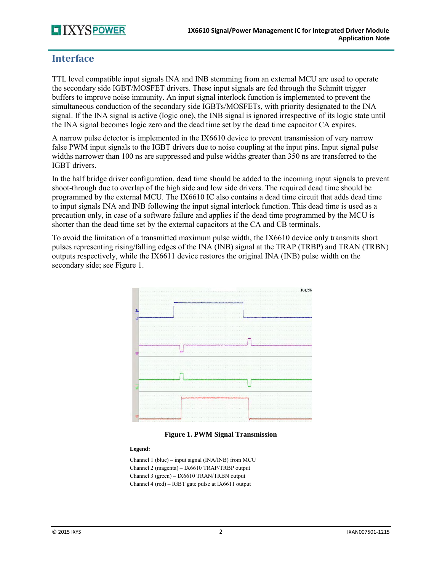# **TIXYSPOWER**

### **Interface**

TTL level compatible input signals INA and INB stemming from an external MCU are used to operate the secondary side IGBT/MOSFET drivers. These input signals are fed through the Schmitt trigger buffers to improve noise immunity. An input signal interlock function is implemented to prevent the simultaneous conduction of the secondary side IGBTs/MOSFETs, with priority designated to the INA signal. If the INA signal is active (logic one), the INB signal is ignored irrespective of its logic state until the INA signal becomes logic zero and the dead time set by the dead time capacitor CA expires.

A narrow pulse detector is implemented in the IX6610 device to prevent transmission of very narrow false PWM input signals to the IGBT drivers due to noise coupling at the input pins. Input signal pulse widths narrower than 100 ns are suppressed and pulse widths greater than 350 ns are transferred to the IGBT drivers.

In the half bridge driver configuration, dead time should be added to the incoming input signals to prevent shoot-through due to overlap of the high side and low side drivers. The required dead time should be programmed by the external MCU. The IX6610 IC also contains a dead time circuit that adds dead time to input signals INA and INB following the input signal interlock function. This dead time is used as a precaution only, in case of a software failure and applies if the dead time programmed by the MCU is shorter than the dead time set by the external capacitors at the CA and CB terminals.

To avoid the limitation of a transmitted maximum pulse width, the IX6610 device only transmits short pulses representing rising/falling edges of the INA (INB) signal at the TRAP (TRBP) and TRAN (TRBN) outputs respectively, while the IX6611 device restores the original INA (INB) pulse width on the secondary side; se[e Figure 1.](#page-1-0)





#### <span id="page-1-0"></span>**Legend:**

Channel 1 (blue) – input signal (INA/INB) from MCU Channel 2 (magenta) – IX6610 TRAP/TRBP output Channel 3 (green) – IX6610 TRAN/TRBN output Channel 4 (red) – IGBT gate pulse at IX6611 output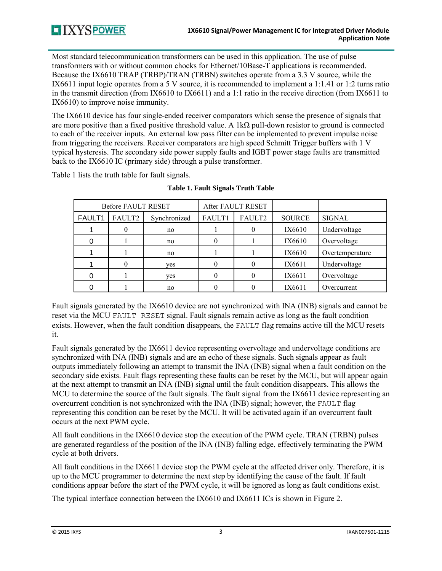Most standard telecommunication transformers can be used in this application. The use of pulse transformers with or without common chocks for Ethernet/10Base-T applications is recommended. Because the IX6610 TRAP (TRBP)/TRAN (TRBN) switches operate from a 3.3 V source, while the IX6611 input logic operates from a 5 V source, it is recommended to implement a 1:1.41 or 1:2 turns ratio in the transmit direction (from IX6610 to IX6611) and a 1:1 ratio in the receive direction (from IX6611 to IX6610) to improve noise immunity.

The IX6610 device has four single-ended receiver comparators which sense the presence of signals that are more positive than a fixed positive threshold value. A 1k $\Omega$  pull-down resistor to ground is connected to each of the receiver inputs. An external low pass filter can be implemented to prevent impulse noise from triggering the receivers. Receiver comparators are high speed Schmitt Trigger buffers with 1 V typical hysteresis. The secondary side power supply faults and IGBT power stage faults are transmitted back to the IX6610 IC (primary side) through a pulse transformer.

<span id="page-2-0"></span>[Table 1](#page-2-0) lists the truth table for fault signals.

| <b>Before FAULT RESET</b> |        |              | After FAULT RESET |          |               |                 |
|---------------------------|--------|--------------|-------------------|----------|---------------|-----------------|
| FAULT1                    | FAULT2 | Synchronized | FAULT1            | FAULT2   | <b>SOURCE</b> | <b>SIGNAL</b>   |
|                           | 0      | no           |                   |          | IX6610        | Undervoltage    |
| 0                         |        | no           | 0                 |          | IX6610        | Overvoltage     |
|                           |        | no           |                   |          | IX6610        | Overtemperature |
|                           | 0      | yes          |                   |          | IX6611        | Undervoltage    |
| 0                         |        | ves          |                   | $\Omega$ | IX6611        | Overvoltage     |
|                           |        | no           |                   |          | IX6611        | Overcurrent     |

| <b>Table 1. Fault Signals Truth Table</b> |  |
|-------------------------------------------|--|
|-------------------------------------------|--|

Fault signals generated by the IX6610 device are not synchronized with INA (INB) signals and cannot be reset via the MCU FAULT RESET signal. Fault signals remain active as long as the fault condition exists. However, when the fault condition disappears, the FAULT flag remains active till the MCU resets it.

Fault signals generated by the IX6611 device representing overvoltage and undervoltage conditions are synchronized with INA (INB) signals and are an echo of these signals. Such signals appear as fault outputs immediately following an attempt to transmit the INA (INB) signal when a fault condition on the secondary side exists. Fault flags representing these faults can be reset by the MCU, but will appear again at the next attempt to transmit an INA (INB) signal until the fault condition disappears. This allows the MCU to determine the source of the fault signals. The fault signal from the IX6611 device representing an overcurrent condition is not synchronized with the INA (INB) signal; however, the FAULT flag representing this condition can be reset by the MCU. It will be activated again if an overcurrent fault occurs at the next PWM cycle.

All fault conditions in the IX6610 device stop the execution of the PWM cycle. TRAN (TRBN) pulses are generated regardless of the position of the INA (INB) falling edge, effectively terminating the PWM cycle at both drivers.

All fault conditions in the IX6611 device stop the PWM cycle at the affected driver only. Therefore, it is up to the MCU programmer to determine the next step by identifying the cause of the fault. If fault conditions appear before the start of the PWM cycle, it will be ignored as long as fault conditions exist.

The typical interface connection between the IX6610 and IX6611 ICs is shown i[n Figure 2.](#page-3-0)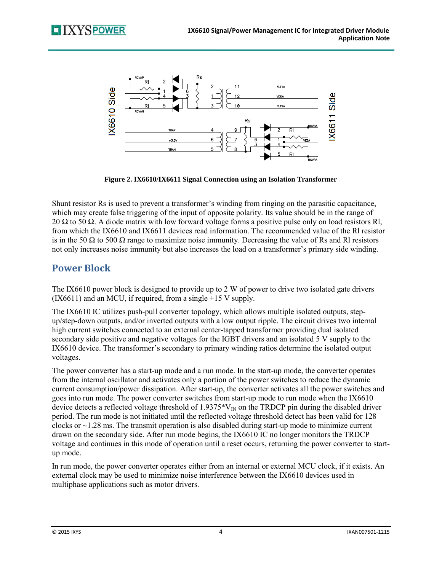

**Figure 2. IX6610/IX6611 Signal Connection using an Isolation Transformer** 

<span id="page-3-0"></span>Shunt resistor Rs is used to prevent a transformer's winding from ringing on the parasitic capacitance, which may create false triggering of the input of opposite polarity. Its value should be in the range of 20  $\Omega$  to 50  $\Omega$ . A diode matrix with low forward voltage forms a positive pulse only on load resistors Rl, from which the IX6610 and IX6611 devices read information. The recommended value of the Rl resistor is in the 50  $\Omega$  to 500  $\Omega$  range to maximize noise immunity. Decreasing the value of Rs and RI resistors not only increases noise immunity but also increases the load on a transformer's primary side winding.

# **Power Block**

The IX6610 power block is designed to provide up to 2 W of power to drive two isolated gate drivers (IX6611) and an MCU, if required, from a single +15 V supply.

The IX6610 IC utilizes push-pull converter topology, which allows multiple isolated outputs, stepup/step-down outputs, and/or inverted outputs with a low output ripple. The circuit drives two internal high current switches connected to an external center-tapped transformer providing dual isolated secondary side positive and negative voltages for the IGBT drivers and an isolated 5 V supply to the IX6610 device. The transformer's secondary to primary winding ratios determine the isolated output voltages.

The power converter has a start-up mode and a run mode. In the start-up mode, the converter operates from the internal oscillator and activates only a portion of the power switches to reduce the dynamic current consumption/power dissipation. After start-up, the converter activates all the power switches and goes into run mode. The power converter switches from start-up mode to run mode when the IX6610 device detects a reflected voltage threshold of 1.9375 $*V_{\text{IN}}$  on the TRDCP pin during the disabled driver period. The run mode is not initiated until the reflected voltage threshold detect has been valid for 128 clocks or  $\sim$ 1.28 ms. The transmit operation is also disabled during start-up mode to minimize current drawn on the secondary side. After run mode begins, the IX6610 IC no longer monitors the TRDCP voltage and continues in this mode of operation until a reset occurs, returning the power converter to startup mode.

In run mode, the power converter operates either from an internal or external MCU clock, if it exists. An external clock may be used to minimize noise interference between the IX6610 devices used in multiphase applications such as motor drivers.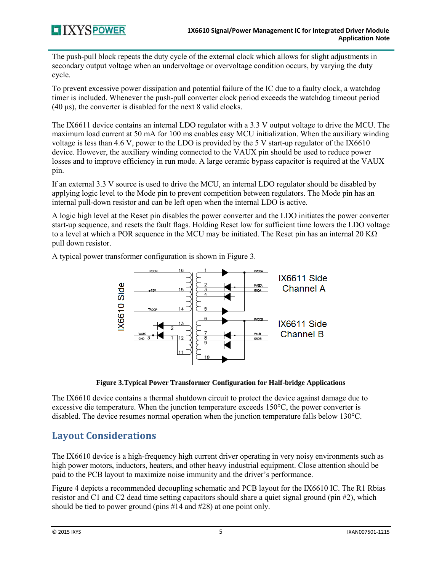The push-pull block repeats the duty cycle of the external clock which allows for slight adjustments in secondary output voltage when an undervoltage or overvoltage condition occurs, by varying the duty cycle.

To prevent excessive power dissipation and potential failure of the IC due to a faulty clock, a watchdog timer is included. Whenever the push-pull converter clock period exceeds the watchdog timeout period (40 μs), the converter is disabled for the next 8 valid clocks.

The IX6611 device contains an internal LDO regulator with a 3.3 V output voltage to drive the MCU. The maximum load current at 50 mA for 100 ms enables easy MCU initialization. When the auxiliary winding voltage is less than 4.6 V, power to the LDO is provided by the 5 V start-up regulator of the IX6610 device. However, the auxiliary winding connected to the VAUX pin should be used to reduce power losses and to improve efficiency in run mode. A large ceramic bypass capacitor is required at the VAUX pin.

If an external 3.3 V source is used to drive the MCU, an internal LDO regulator should be disabled by applying logic level to the Mode pin to prevent competition between regulators. The Mode pin has an internal pull-down resistor and can be left open when the internal LDO is active.

A logic high level at the Reset pin disables the power converter and the LDO initiates the power converter start-up sequence, and resets the fault flags. Holding Reset low for sufficient time lowers the LDO voltage to a level at which a POR sequence in the MCU may be initiated. The Reset pin has an internal 20 KΩ pull down resistor.

A typical power transformer configuration is shown i[n Figure 3.](#page-4-0)



**Figure 3.Typical Power Transformer Configuration for Half-bridge Applications** 

<span id="page-4-0"></span>The IX6610 device contains a thermal shutdown circuit to protect the device against damage due to excessive die temperature. When the junction temperature exceeds 150°C, the power converter is disabled. The device resumes normal operation when the junction temperature falls below 130°C.

# **Layout Considerations**

The IX6610 device is a high-frequency high current driver operating in very noisy environments such as high power motors, inductors, heaters, and other heavy industrial equipment. Close attention should be paid to the PCB layout to maximize noise immunity and the driver's performance.

[Figure](#page-5-0) 4 depicts a recommended decoupling schematic and PCB layout for the IX6610 IC. The R1 Rbias resistor and C1 and C2 dead time setting capacitors should share a quiet signal ground (pin #2), which should be tied to power ground (pins #14 and #28) at one point only.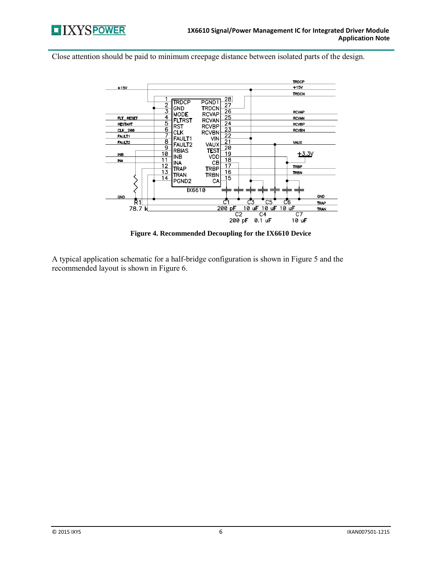

Close attention should be paid to minimum creepage distance between isolated parts of the design.



**Figure 4. Recommended Decoupling for the IX6610 Device** 

<span id="page-5-0"></span>A typical application schematic for a half-bridge configuration is shown in [Figure 5](#page-6-0) and the recommended layout is shown in [Figure 6.](#page-6-1)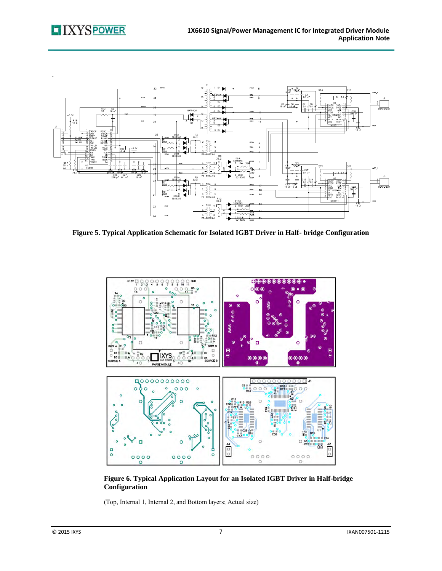

<span id="page-6-0"></span>**Figure 5. Typical Application Schematic for Isolated IGBT Driver in Half- bridge Configuration** 



<span id="page-6-1"></span>**Figure 6. Typical Application Layout for an Isolated IGBT Driver in Half-bridge Configuration** 

(Top, Internal 1, Internal 2, and Bottom layers; Actual size)